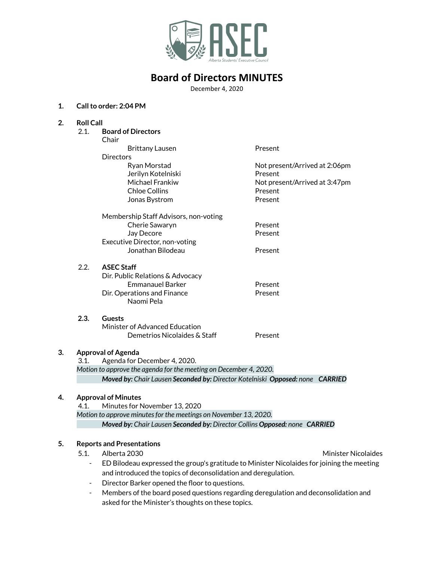

December 4, 2020

### **1. Callto order: 2:04 PM**

| 2. | <b>Roll Call</b>           |                                                                                            |                               |  |
|----|----------------------------|--------------------------------------------------------------------------------------------|-------------------------------|--|
|    | 2.1.                       | <b>Board of Directors</b>                                                                  |                               |  |
|    |                            | Chair                                                                                      |                               |  |
|    |                            | <b>Brittany Lausen</b>                                                                     | Present                       |  |
|    |                            | <b>Directors</b>                                                                           |                               |  |
|    |                            | Ryan Morstad                                                                               | Not present/Arrived at 2:06pm |  |
|    |                            | Jerilyn Kotelniski                                                                         | Present                       |  |
|    |                            | Michael Frankiw                                                                            | Not present/Arrived at 3:47pm |  |
|    |                            | <b>Chloe Collins</b>                                                                       | Present                       |  |
|    |                            | Jonas Bystrom                                                                              | Present                       |  |
|    |                            | Membership Staff Advisors, non-voting                                                      |                               |  |
|    |                            | Cherie Sawaryn                                                                             | Present                       |  |
|    |                            | Jay Decore                                                                                 | Present                       |  |
|    |                            | Executive Director, non-voting                                                             |                               |  |
|    |                            | Jonathan Bilodeau                                                                          | Present                       |  |
|    | 2.2.                       | <b>ASEC Staff</b>                                                                          |                               |  |
|    |                            | Dir. Public Relations & Advocacy                                                           |                               |  |
|    |                            | <b>Emmanauel Barker</b>                                                                    | Present                       |  |
|    |                            | Dir. Operations and Finance<br>Naomi Pela                                                  | Present                       |  |
|    | 2.3.                       | <b>Guests</b>                                                                              |                               |  |
|    |                            | Minister of Advanced Education                                                             |                               |  |
|    |                            | Demetrios Nicolaides & Staff                                                               | Present                       |  |
| 3. | <b>Approval of Agenda</b>  |                                                                                            |                               |  |
|    | 3.1.                       | Agenda for December 4, 2020.                                                               |                               |  |
|    |                            | Motion to approve the agenda for the meeting on December 4, 2020.                          |                               |  |
|    |                            | Moved by: Chair Lausen Seconded by: Director Kotelniski Opposed: none CARRIED              |                               |  |
| 4. | <b>Approval of Minutes</b> |                                                                                            |                               |  |
|    | 4.1.                       | Minutes for November 13, 2020                                                              |                               |  |
|    |                            | Motion to approve minutes for the meetings on November 13, 2020.                           |                               |  |
|    |                            | Moved by: Chair Lausen Seconded by: Director Collins Opposed: none CARRIED                 |                               |  |
| 5. |                            | <b>Reports and Presentations</b>                                                           |                               |  |
|    | 5.1.                       |                                                                                            |                               |  |
|    |                            | Alberta 2030                                                                               | <b>Minister Nicolaides</b>    |  |
|    | $\blacksquare$             | ED Bilodeau expressed the group's gratitude to Minister Nicolaides for joining the meeting |                               |  |
|    |                            | and introduced the topics of deconsolidation and deregulation.                             |                               |  |

- Director Barker opened the floor to questions.
- Members of the board posed questions regarding deregulation and deconsolidation and asked for the Minister's thoughts on these topics.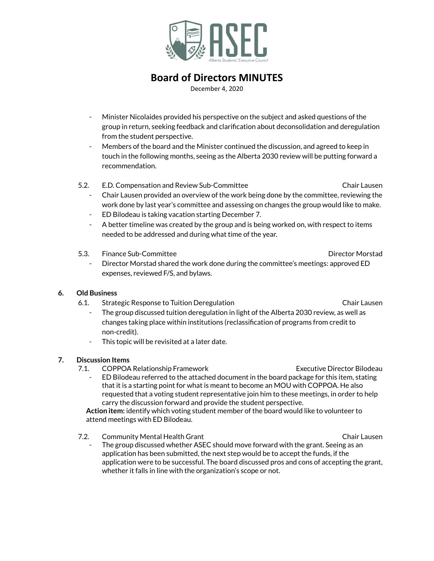

December 4, 2020

- Minister Nicolaides provided his perspective on the subject and asked questions of the group in return, seeking feedback and clarification about deconsolidation and deregulation from the student perspective.
- Members of the board and the Minister continued the discussion, and agreed to keep in touch in the following months, seeing as the Alberta 2030 review will be putting forward a recommendation.
- 5.2. E.D. Compensation and Review Sub-Committee Chair Lausen
	- Chair Lausen provided an overview of the work being done by the committee, reviewing the work done by last year's committee and assessing on changes the group would like to make.
	- ED Bilodeau is taking vacation starting December 7.
	- A better timeline was created by the group and is being worked on, with respect to items needed to be addressed and during what time of the year.
- 5.3. Finance Sub-Committee Director Morstad
	- Director Morstad shared the work done during the committee's meetings: approved ED expenses, reviewed F/S, and bylaws.

#### **6. Old Business**

- 6.1. Strategic Response to Tuition Deregulation Chair Lausen
	- The group discussed tuition deregulation in light of the Alberta 2030 review, as well as changes taking place within institutions (reclassification of programs from credit to non-credit).
	- This topic will be revisited at a later date.

### **7. Discussion Items**

- 7.1. COPPOA Relationship Framework Executive Director Bilodeau
	- ED Bilodeau referred to the attached document in the board package for this item, stating that it is a starting point for what is meant to become an MOU with COPPOA. He also requested that a voting student representative join him to these meetings, in order to help carry the discussion forward and provide the student perspective.

**Action item:** identify which voting student member of the board would like to volunteer to attend meetings with ED Bilodeau.

- 7.2. Community Mental Health Grant Chair Lausen
	- The group discussed whether ASEC should move forward with the grant. Seeing as an application has been submitted, the next step would be to accept the funds, if the application were to be successful. The board discussed pros and cons of accepting the grant, whether it falls in line with the organization's scope or not.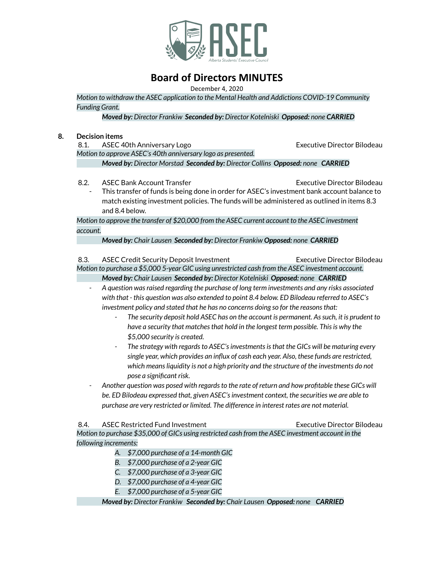

December 4, 2020

*Motion to withdraw the ASEC application to the Mental Health and Addictions COVID-19 Community Funding Grant.*

*Moved by: Director Frankiw Seconded by: Director Kotelniski Opposed: none CARRIED*

#### **8. Decision items**

8.1. ASEC 40th Anniversary Logo **Executive Director Bilodeau** 

*Motion to approve ASEC's 40th anniversary logo as presented.*

*Moved by: Director Morstad Seconded by: Director Collins Opposed: none CARRIED*

8.2. ASEC Bank Account Transfer **Executive Director Bilodeau** 

This transfer of funds is being done in order for ASEC's investment bank account balance to match existing investment policies. The funds will be administered as outlined in items 8.3 and 8.4 below.

*Motion to approve the transfer of \$20,000 from the ASEC current account to the ASEC investment account.*

*Moved by: Chair Lausen Seconded by: Director Frankiw Opposed: none CARRIED*

8.3. ASEC Credit Security Deposit Investment Executive Director Bilodeau *Motion to purchase a \$5,000 5-year GIC using unrestricted cash from the ASEC investment account. Moved by: Chair Lausen Seconded by: Director Kotelniski Opposed: none CARRIED*

- *- A question wasraised regarding the purchase of long term investments and any risks associated with that - this question was also extended to point 8.4 below. ED Bilodeau referred to ASEC's investment policy and stated that he has no concerns doing so for the reasonsthat:*
	- *- The security deposit hold ASEC has on the account is permanent. Assuch, it is prudent to have a security that matchesthat hold in the longest term possible. Thisis why the \$5,000 security is created.*
	- *- The strategy with regardsto ASEC'sinvestmentsisthat the GICs will be maturing every single year, which provides an influx of cash each year. Also, these funds are restricted, which meansliquidity is not a high priority and the structure of the investments do not pose a significant risk.*
- *- Another question was posed with regardsto the rate of return and how profitable these GICs will be. ED Bilodeau expressed that, given ASEC'sinvestment context, the securities we are able to purchase are very restricted or limited. The difference in interest rates are not material.*

8.4. ASEC Restricted Fund Investment Executive Director Bilodeau *Motion to purchase \$35,000 of GICs using restricted cash from the ASEC investment account in the following increments:*

- *A. \$7,000 purchase of a 14-month GIC*
- *B. \$7,000 purchase of a 2-year GIC*
- *C. \$7,000 purchase of a 3-year GIC*
- *D. \$7,000 purchase of a 4-year GIC*
- *E. \$7,000 purchase of a 5-year GIC*

*Moved by: Director Frankiw Seconded by: Chair Lausen Opposed: none CARRIED*